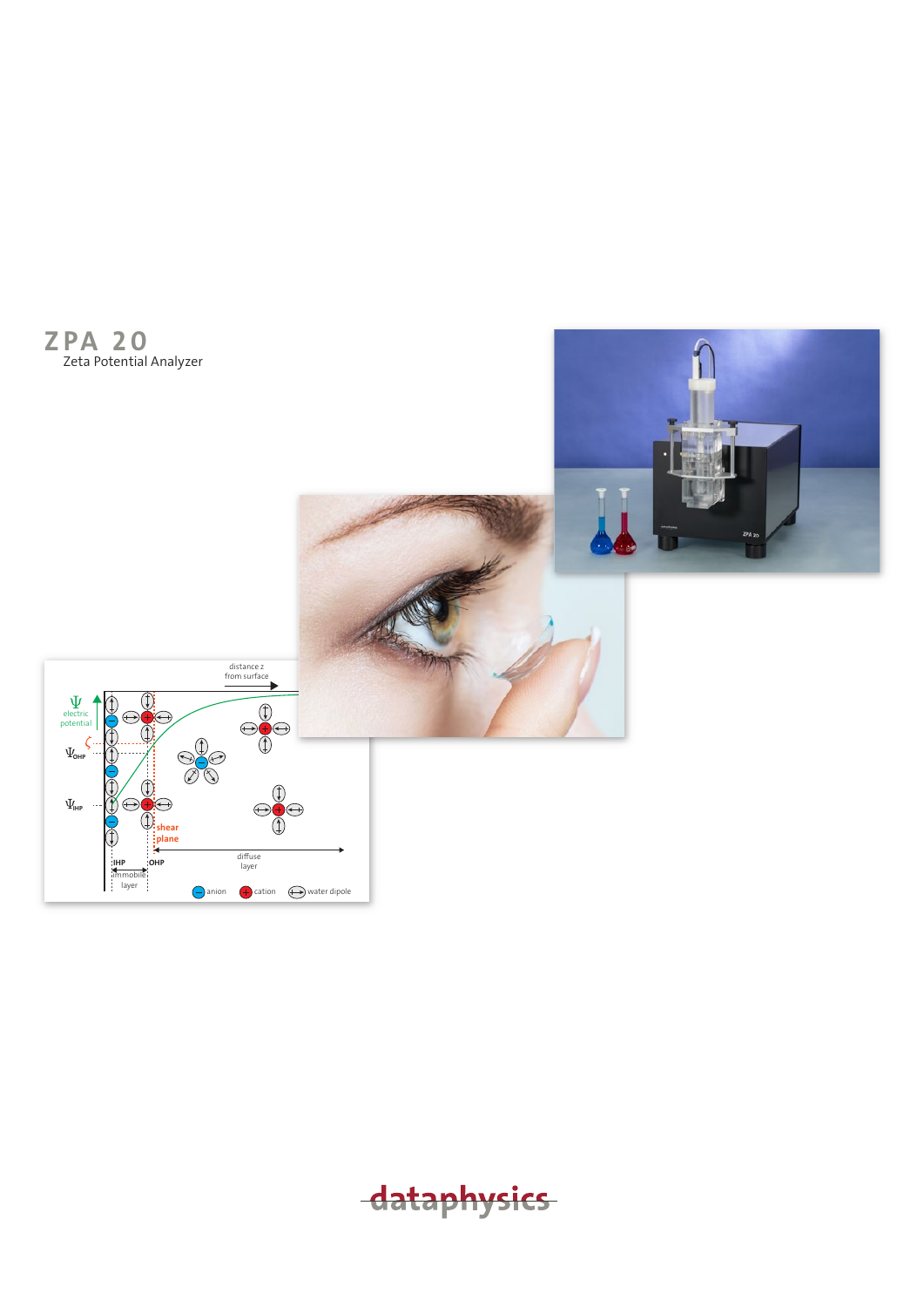

dataphysics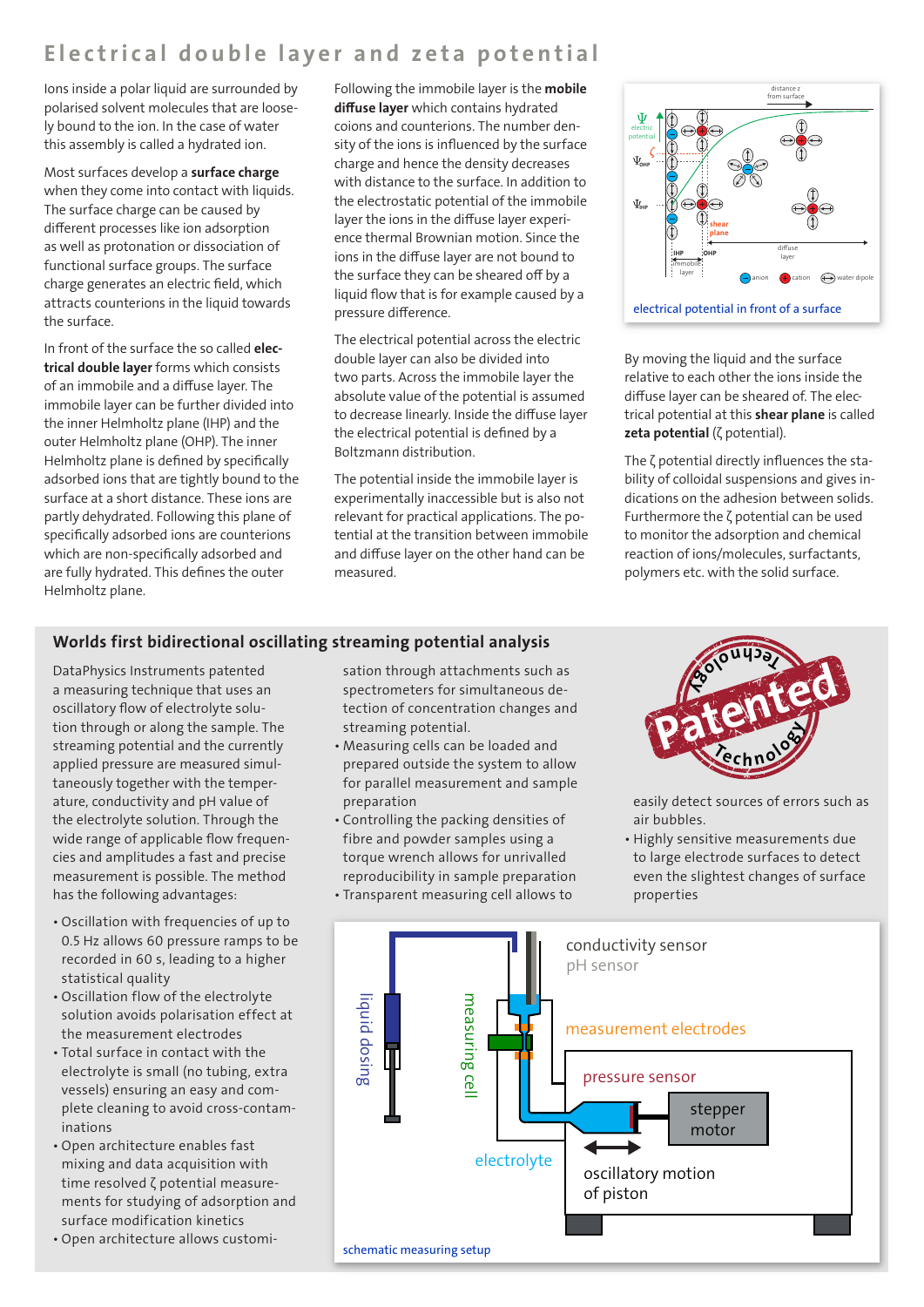## Electrical double layer and zeta potential

Ions inside a polar liquid are surrounded by polarised solvent molecules that are loosely bound to the ion. In the case of water this assembly is called a hydrated ion.

Most surfaces develop a surface charge when they come into contact with liquids. The surface charge can be caused by different processes like ion adsorption as well as protonation or dissociation of functional surface groups. The surface charge generates an electric field, which attracts counterions in the liquid towards the surface.

In front of the surface the so called electrical double layer forms which consists of an immobile and a diffuse layer. The immobile layer can be further divided into the inner Helmholtz plane (IHP) and the outer Helmholtz plane (OHP). The inner Helmholtz plane is defined by specifically adsorbed ions that are tightly bound to the surface at a short distance. These ions are partly dehydrated. Following this plane of specifically adsorbed ions are counterions which are non-specifically adsorbed and are fully hydrated. This defines the outer Helmholtz plane.

Following the immobile layer is the mobile diffuse layer which contains hydrated coions and counterions. The number density of the ions is influenced by the surface charge and hence the density decreases with distance to the surface. In addition to the electrostatic potential of the immobile layer the ions in the diffuse layer experience thermal Brownian motion. Since the ions in the diffuse layer are not bound to the surface they can be sheared off by a liquid flow that is for example caused by a pressure difference.

The electrical potential across the electric double layer can also be divided into two parts. Across the immobile layer the absolute value of the potential is assumed to decrease linearly. Inside the diffuse layer the electrical potential is defined by a Boltzmann distribution.

The potential inside the immobile layer is experimentally inaccessible but is also not relevant for practical applications. The potential at the transition between immobile and diffuse layer on the other hand can be measured.



By moving the liquid and the surface relative to each other the ions inside the diffuse layer can be sheared of. The electrical potential at this shear plane is called zeta potential (ζ potential).

The ζ potential directly influences the stability of colloidal suspensions and gives indications on the adhesion between solids. Furthermore the ζ potential can be used to monitor the adsorption and chemical reaction of ions/molecules, surfactants, polymers etc. with the solid surface.

#### Worlds first bidirectional oscillating streaming potential analysis

DataPhysics Instruments patented a measuring technique that uses an oscillatory flow of electrolyte solution through or along the sample. The streaming potential and the currently applied pressure are measured simultaneously together with the temperature, conductivity and pH value of the electrolyte solution. Through the wide range of applicable flow frequencies and amplitudes a fast and precise measurement is possible. The method has the following advantages:

- Oscillation with frequencies of up to 0.5 Hz allows 60 pressure ramps to be recorded in 60 s, leading to a higher statistical quality
- Oscillation flow of the electrolyte solution avoids polarisation effect at the measurement electrodes
- Total surface in contact with the electrolyte is small (no tubing, extra vessels) ensuring an easy and complete cleaning to avoid cross-contaminations
- Open architecture enables fast mixing and data acquisition with time resolved ζ potential measurements for studying of adsorption and surface modification kinetics
- Open architecture allows customi-

sation through attachments such as spectrometers for simultaneous detection of concentration changes and streaming potential.

- Measuring cells can be loaded and prepared outside the system to allow for parallel measurement and sample preparation
- Controlling the packing densities of fibre and powder samples using a torque wrench allows for unrivalled reproducibility in sample preparation
- Transparent measuring cell allows to



easily detect sources of errors such as air bubbles.

• Highly sensitive measurements due to large electrode surfaces to detect even the slightest changes of surface properties

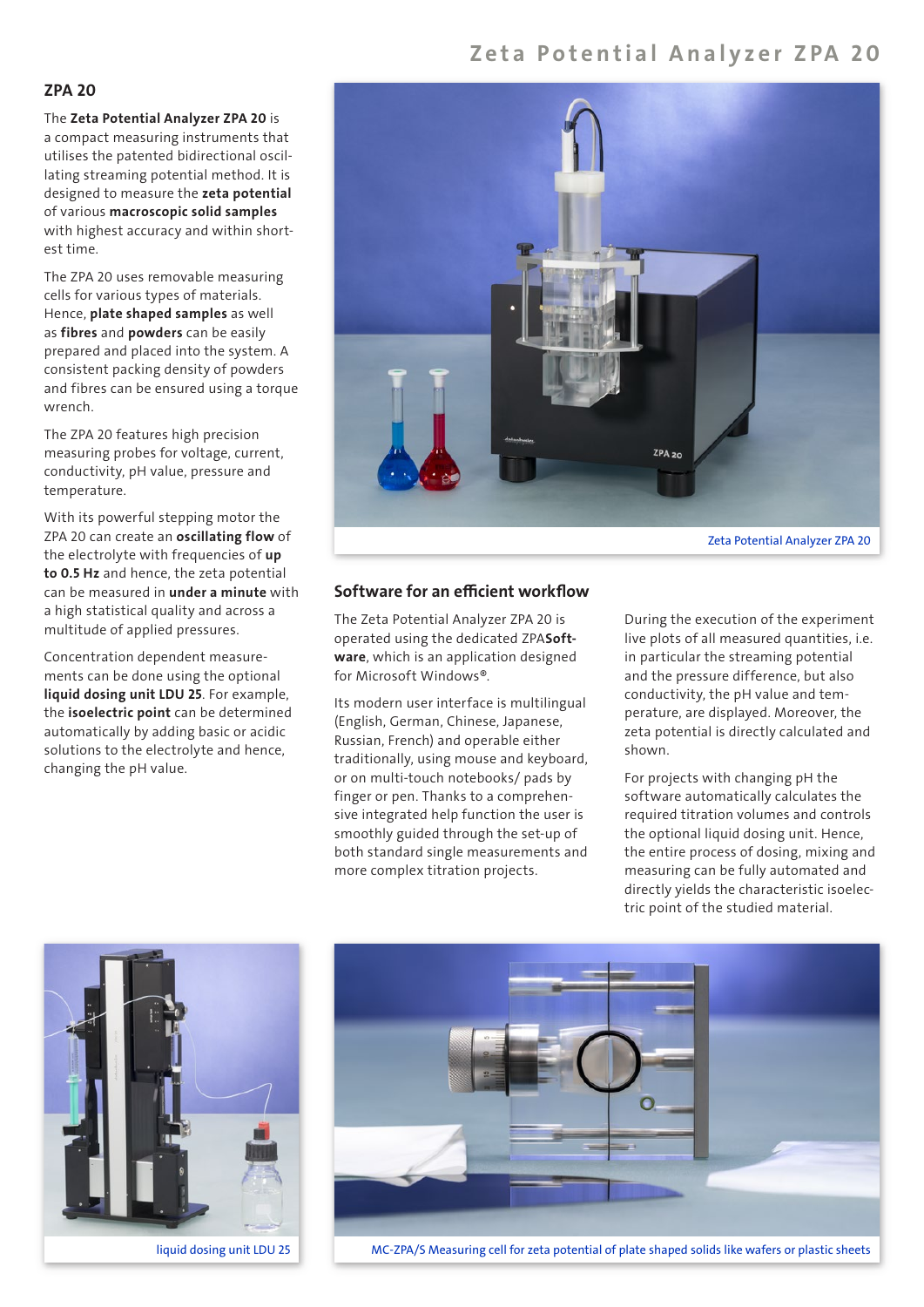### Zeta Potential Analyzer ZPA 20

#### ZPA 20

The Zeta Potential Analyzer ZPA 20 is a compact measuring instruments that utilises the patented bidirectional oscillating streaming potential method. It is designed to measure the zeta potential of various macroscopic solid samples with highest accuracy and within shortest time.

The ZPA 20 uses removable measuring cells for various types of materials. Hence, plate shaped samples as well as fibres and powders can be easily prepared and placed into the system. A consistent packing density of powders and fibres can be ensured using a torque wrench.

The ZPA 20 features high precision measuring probes for voltage, current, conductivity, pH value, pressure and temperature.

With its powerful stepping motor the ZPA 20 can create an oscillating flow of the electrolyte with frequencies of up to 0.5 Hz and hence, the zeta potential can be measured in under a minute with a high statistical quality and across a multitude of applied pressures.

Concentration dependent measurements can be done using the optional liquid dosing unit LDU 25. For example, the *isoelectric* point can be determined automatically by adding basic or acidic solutions to the electrolyte and hence, changing the pH value.



#### Software for an efficient workflow

The Zeta Potential Analyzer ZPA 20 is operated using the dedicated ZPASoftware, which is an application designed for Microsoft Windows®.

Its modern user interface is multilingual (English, German, Chinese, Japanese, Russian, French) and operable either traditionally, using mouse and keyboard, or on multi-touch notebooks/ pads by finger or pen. Thanks to a comprehensive integrated help function the user is smoothly guided through the set-up of both standard single measurements and more complex titration projects.

During the execution of the experiment live plots of all measured quantities, i.e. in particular the streaming potential and the pressure difference, but also conductivity, the pH value and temperature, are displayed. Moreover, the zeta potential is directly calculated and shown.

For projects with changing pH the software automatically calculates the required titration volumes and controls the optional liquid dosing unit. Hence, the entire process of dosing, mixing and measuring can be fully automated and directly yields the characteristic isoelectric point of the studied material.



liquid dosing unit LDU 25



MC-ZPA/S Measuring cell for zeta potential of plate shaped solids like wafers or plastic sheets